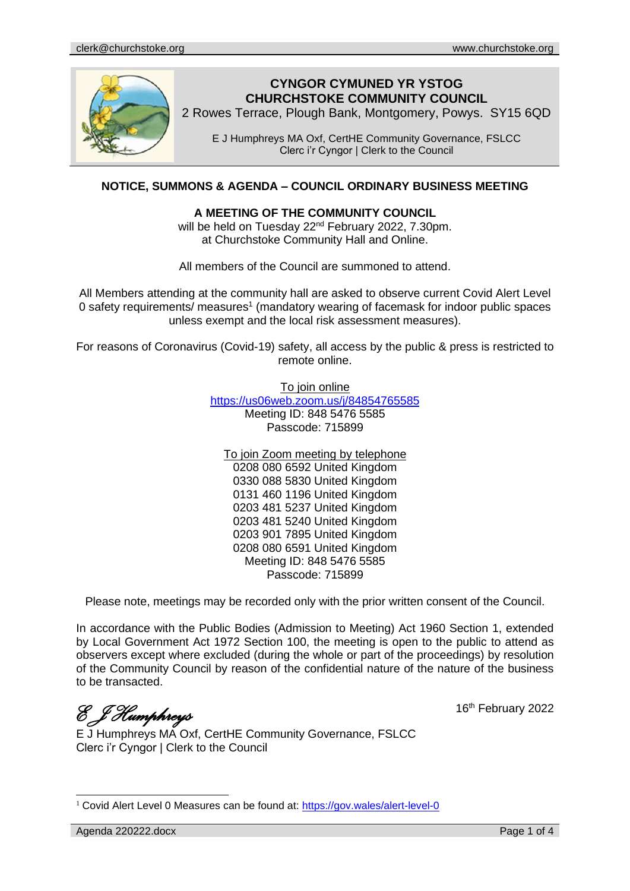

# **CYNGOR CYMUNED YR YSTOG CHURCHSTOKE COMMUNITY COUNCIL**

2 Rowes Terrace, Plough Bank, Montgomery, Powys. SY15 6QD

E J Humphreys MA Oxf, CertHE Community Governance, FSLCC Clerc i'r Cyngor | Clerk to the Council

# **NOTICE, SUMMONS & AGENDA – COUNCIL ORDINARY BUSINESS MEETING**

#### **A MEETING OF THE COMMUNITY COUNCIL**

will be held on Tuesday 22<sup>nd</sup> February 2022, 7.30pm. at Churchstoke Community Hall and Online.

All members of the Council are summoned to attend.

All Members attending at the community hall are asked to observe current Covid Alert Level 0 safety requirements/ measures<sup>1</sup> (mandatory wearing of facemask for indoor public spaces unless exempt and the local risk assessment measures).

For reasons of Coronavirus (Covid-19) safety, all access by the public & press is restricted to remote online.

To join online

<https://us06web.zoom.us/j/84854765585> Meeting ID: 848 5476 5585 Passcode: 715899

To join Zoom meeting by telephone 0208 080 6592 United Kingdom 0330 088 5830 United Kingdom 0131 460 1196 United Kingdom 0203 481 5237 United Kingdom 0203 481 5240 United Kingdom 0203 901 7895 United Kingdom 0208 080 6591 United Kingdom Meeting ID: 848 5476 5585 Passcode: 715899

Please note, meetings may be recorded only with the prior written consent of the Council.

In accordance with the Public Bodies (Admission to Meeting) Act 1960 Section 1, extended by Local Government Act 1972 Section 100, the meeting is open to the public to attend as observers except where excluded (during the whole or part of the proceedings) by resolution of the Community Council by reason of the confidential nature of the nature of the business to be transacted.

*E J Humphreys* 

16<sup>th</sup> February 2022

E J Humphreys MA Oxf, CertHE Community Governance, FSLCC Clerc i'r Cyngor | Clerk to the Council

 $1$  Covid Alert Level 0 Measures can be found at:<https://gov.wales/alert-level-0>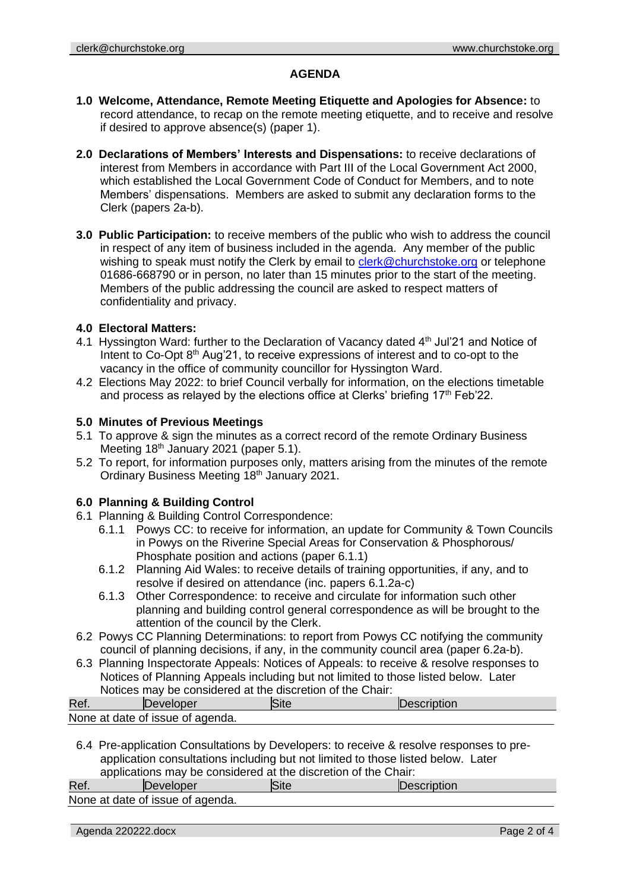#### **AGENDA**

- **1.0 Welcome, Attendance, Remote Meeting Etiquette and Apologies for Absence:** to record attendance, to recap on the remote meeting etiquette, and to receive and resolve if desired to approve absence(s) (paper 1).
- **2.0 Declarations of Members' Interests and Dispensations:** to receive declarations of interest from Members in accordance with Part III of the Local Government Act 2000, which established the Local Government Code of Conduct for Members, and to note Members' dispensations. Members are asked to submit any declaration forms to the Clerk (papers 2a-b).
- **3.0 Public Participation:** to receive members of the public who wish to address the council in respect of any item of business included in the agenda. Any member of the public wishing to speak must notify the Clerk by email to [clerk@churchstoke.org](mailto:clerk@churchstoke.org) or telephone 01686-668790 or in person, no later than 15 minutes prior to the start of the meeting. Members of the public addressing the council are asked to respect matters of confidentiality and privacy.

#### **4.0 Electoral Matters:**

- 4.1 Hyssington Ward: further to the Declaration of Vacancy dated  $4<sup>th</sup>$  Jul'21 and Notice of Intent to Co-Opt 8<sup>th</sup> Aug'21, to receive expressions of interest and to co-opt to the vacancy in the office of community councillor for Hyssington Ward.
- 4.2 Elections May 2022: to brief Council verbally for information, on the elections timetable and process as relayed by the elections office at Clerks' briefing  $17<sup>th</sup>$  Feb'22.

#### **5.0 Minutes of Previous Meetings**

- 5.1 To approve & sign the minutes as a correct record of the remote Ordinary Business Meeting 18<sup>th</sup> January 2021 (paper 5.1).
- 5.2 To report, for information purposes only, matters arising from the minutes of the remote Ordinary Business Meeting 18<sup>th</sup> January 2021.

#### **6.0 Planning & Building Control**

- 6.1 Planning & Building Control Correspondence:
	- 6.1.1 Powys CC: to receive for information, an update for Community & Town Councils in Powys on the Riverine Special Areas for Conservation & Phosphorous/ Phosphate position and actions (paper 6.1.1)
	- 6.1.2 Planning Aid Wales: to receive details of training opportunities, if any, and to resolve if desired on attendance (inc. papers 6.1.2a-c)
	- 6.1.3 Other Correspondence: to receive and circulate for information such other planning and building control general correspondence as will be brought to the attention of the council by the Clerk.
- 6.2 Powys CC Planning Determinations: to report from Powys CC notifying the community council of planning decisions, if any, in the community council area (paper 6.2a-b).
- 6.3 Planning Inspectorate Appeals: Notices of Appeals: to receive & resolve responses to Notices of Planning Appeals including but not limited to those listed below. Later Notices may be considered at the discretion of the Chair:

| Ret. | Developer                        | <b>Site</b> | <b>IDescription</b> |
|------|----------------------------------|-------------|---------------------|
|      | None at date of issue of agenda. |             |                     |

6.4 Pre-application Consultations by Developers: to receive & resolve responses to preapplication consultations including but not limited to those listed below. Later applications may be considered at the discretion of the Chair:

| Ret                              | Developer | Site | Description |  |  |
|----------------------------------|-----------|------|-------------|--|--|
| None at date of issue of agenda. |           |      |             |  |  |

Agenda 220222.docx Page 2 of 4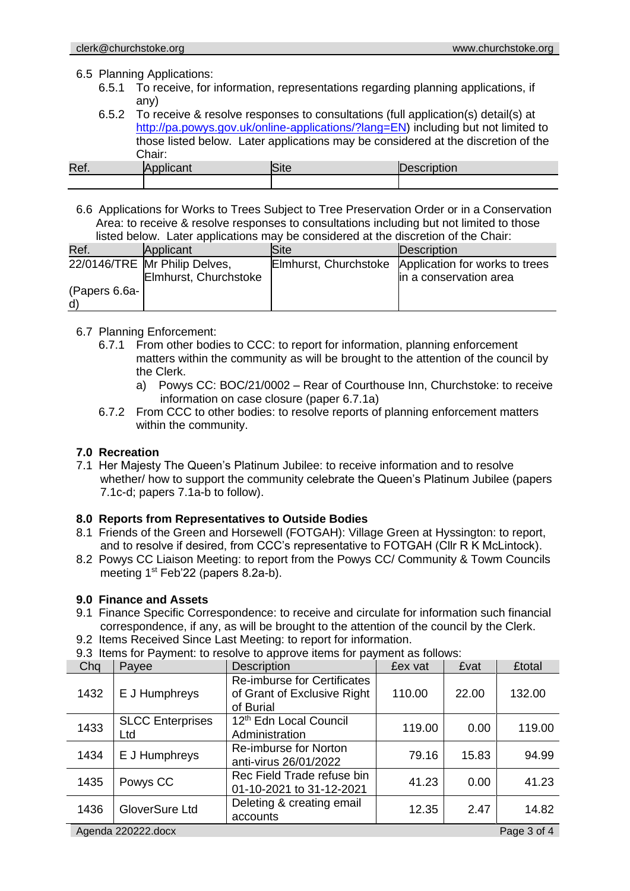#### 6.5 Planning Applications:

- 6.5.1 To receive, for information, representations regarding planning applications, if any)
- 6.5.2 To receive & resolve responses to consultations (full application(s) detail(s) at http://pa.powys.gov.uk/online-applications/?lang=EN) including but not limited to those listed below. Later applications may be considered at the discretion of the Chair:

| Ref. |  |  |
|------|--|--|
|      |  |  |

6.6 Applications for Works to Trees Subject to Tree Preservation Order or in a Conservation Area: to receive & resolve responses to consultations including but not limited to those listed below. Later applications may be considered at the discretion of the Chair:

| Ref.                           | Applicant                     | Site: | Description                                          |
|--------------------------------|-------------------------------|-------|------------------------------------------------------|
|                                | 22/0146/TRE Mr Philip Delves, |       | Elmhurst, Churchstoke Application for works to trees |
|                                | Elmhurst, Churchstoke         |       | lin a conservation area                              |
| $($ Papers 6.6a- $\vert$<br>d) |                               |       |                                                      |

- 6.7 Planning Enforcement:
	- 6.7.1 From other bodies to CCC: to report for information, planning enforcement matters within the community as will be brought to the attention of the council by the Clerk.
		- a) Powys CC: BOC/21/0002 Rear of Courthouse Inn, Churchstoke: to receive information on case closure (paper 6.7.1a)
	- 6.7.2 From CCC to other bodies: to resolve reports of planning enforcement matters within the community.

#### **7.0 Recreation**

7.1 Her Majesty The Queen's Platinum Jubilee: to receive information and to resolve whether/ how to support the community celebrate the Queen's Platinum Jubilee (papers 7.1c-d; papers 7.1a-b to follow).

#### **8.0 Reports from Representatives to Outside Bodies**

- 8.1 Friends of the Green and Horsewell (FOTGAH): Village Green at Hyssington: to report, and to resolve if desired, from CCC's representative to FOTGAH (Cllr R K McLintock).
- 8.2 Powys CC Liaison Meeting: to report from the Powys CC/ Community & Towm Councils meeting 1<sup>st</sup> Feb'22 (papers 8.2a-b).

# **9.0 Finance and Assets**

- 9.1 Finance Specific Correspondence: to receive and circulate for information such financial correspondence, if any, as will be brought to the attention of the council by the Clerk.
- 9.2 Items Received Since Last Meeting: to report for information.

| Chq                               | Payee                          | <b>Description</b>                                                             | £ex vat | £vat  | <b>£total</b> |
|-----------------------------------|--------------------------------|--------------------------------------------------------------------------------|---------|-------|---------------|
| 1432                              | E J Humphreys                  | <b>Re-imburse for Certificates</b><br>of Grant of Exclusive Right<br>of Burial | 110.00  | 22.00 | 132.00        |
| 1433                              | <b>SLCC Enterprises</b><br>Ltd | 12th Edn Local Council<br>Administration                                       | 119.00  | 0.00  | 119.00        |
| 1434                              | E J Humphreys                  | Re-imburse for Norton<br>anti-virus 26/01/2022                                 | 79.16   | 15.83 | 94.99         |
| 1435                              | Powys CC                       | Rec Field Trade refuse bin<br>01-10-2021 to 31-12-2021                         | 41.23   | 0.00  | 41.23         |
| 1436                              | GloverSure Ltd                 | Deleting & creating email<br>accounts                                          | 12.35   | 2.47  | 14.82         |
| Page 3 of 4<br>Agenda 220222.docx |                                |                                                                                |         |       |               |

9.3 Items for Payment: to resolve to approve items for payment as follows: